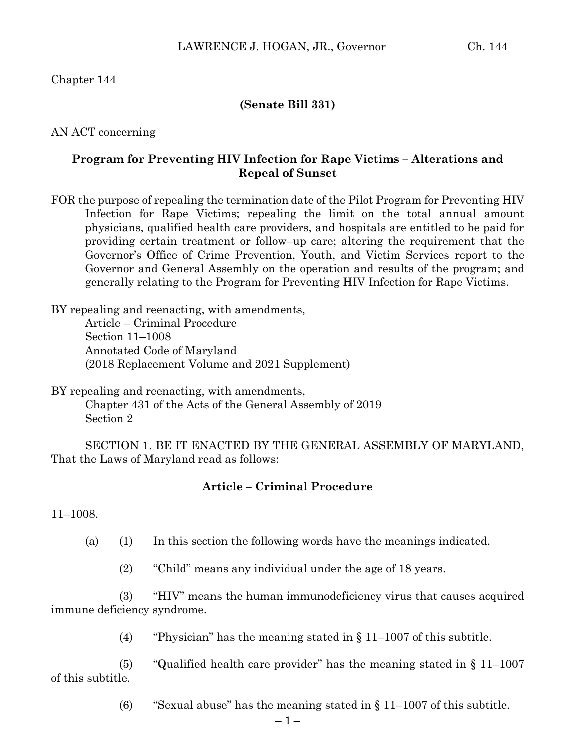## Chapter 144

### **(Senate Bill 331)**

AN ACT concerning

## **Program for Preventing HIV Infection for Rape Victims – Alterations and Repeal of Sunset**

FOR the purpose of repealing the termination date of the Pilot Program for Preventing HIV Infection for Rape Victims; repealing the limit on the total annual amount physicians, qualified health care providers, and hospitals are entitled to be paid for providing certain treatment or follow–up care; altering the requirement that the Governor's Office of Crime Prevention, Youth, and Victim Services report to the Governor and General Assembly on the operation and results of the program; and generally relating to the Program for Preventing HIV Infection for Rape Victims.

BY repealing and reenacting, with amendments, Article – Criminal Procedure Section 11–1008 Annotated Code of Maryland (2018 Replacement Volume and 2021 Supplement)

BY repealing and reenacting, with amendments, Chapter 431 of the Acts of the General Assembly of 2019 Section 2

SECTION 1. BE IT ENACTED BY THE GENERAL ASSEMBLY OF MARYLAND, That the Laws of Maryland read as follows:

#### **Article – Criminal Procedure**

11–1008.

(a) (1) In this section the following words have the meanings indicated.

(2) "Child" means any individual under the age of 18 years.

(3) "HIV" means the human immunodeficiency virus that causes acquired immune deficiency syndrome.

(4) "Physician" has the meaning stated in  $\S 11-1007$  of this subtitle.

(5) "Qualified health care provider" has the meaning stated in  $\S 11-1007$ of this subtitle.

(6) "Sexual abuse" has the meaning stated in  $\S 11-1007$  of this subtitle.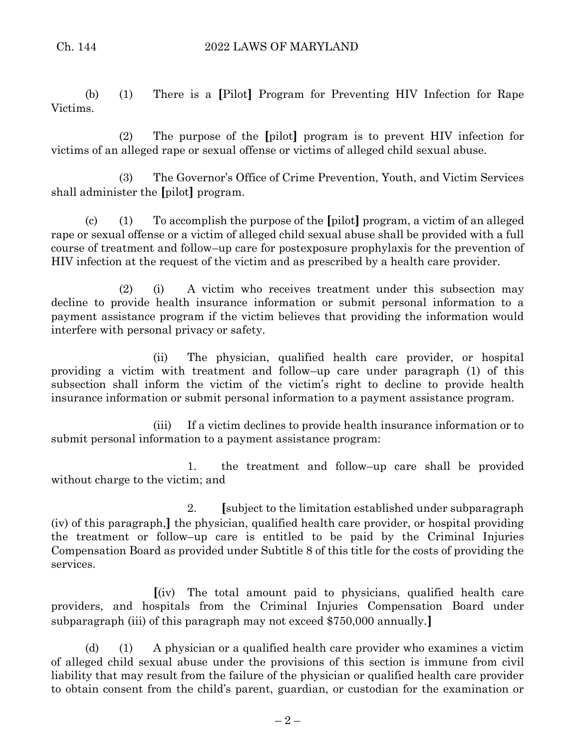(b) (1) There is a **[**Pilot**]** Program for Preventing HIV Infection for Rape Victims.

(2) The purpose of the **[**pilot**]** program is to prevent HIV infection for victims of an alleged rape or sexual offense or victims of alleged child sexual abuse.

(3) The Governor's Office of Crime Prevention, Youth, and Victim Services shall administer the **[**pilot**]** program.

(c) (1) To accomplish the purpose of the **[**pilot**]** program, a victim of an alleged rape or sexual offense or a victim of alleged child sexual abuse shall be provided with a full course of treatment and follow–up care for postexposure prophylaxis for the prevention of HIV infection at the request of the victim and as prescribed by a health care provider.

(2) (i) A victim who receives treatment under this subsection may decline to provide health insurance information or submit personal information to a payment assistance program if the victim believes that providing the information would interfere with personal privacy or safety.

(ii) The physician, qualified health care provider, or hospital providing a victim with treatment and follow–up care under paragraph (1) of this subsection shall inform the victim of the victim's right to decline to provide health insurance information or submit personal information to a payment assistance program.

(iii) If a victim declines to provide health insurance information or to submit personal information to a payment assistance program:

1. the treatment and follow–up care shall be provided without charge to the victim; and

2. **[**subject to the limitation established under subparagraph (iv) of this paragraph,**]** the physician, qualified health care provider, or hospital providing the treatment or follow–up care is entitled to be paid by the Criminal Injuries Compensation Board as provided under Subtitle 8 of this title for the costs of providing the services.

**[**(iv) The total amount paid to physicians, qualified health care providers, and hospitals from the Criminal Injuries Compensation Board under subparagraph (iii) of this paragraph may not exceed \$750,000 annually.**]**

(d) (1) A physician or a qualified health care provider who examines a victim of alleged child sexual abuse under the provisions of this section is immune from civil liability that may result from the failure of the physician or qualified health care provider to obtain consent from the child's parent, guardian, or custodian for the examination or